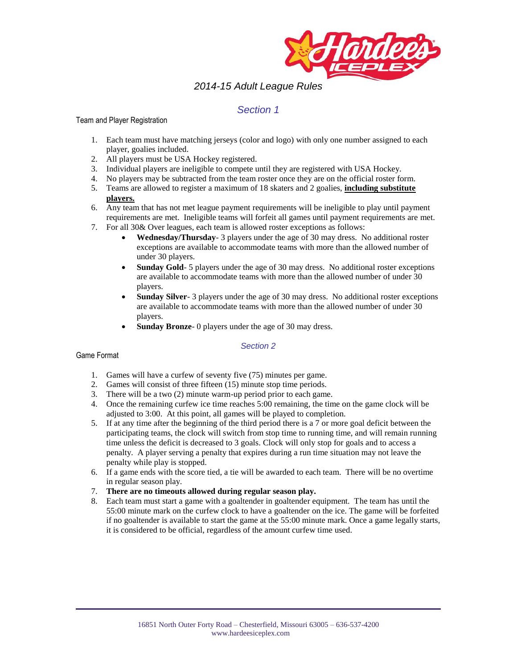

# *2014-15 Adult League Rules*

# *Section 1*

### Team and Player Registration

- 1. Each team must have matching jerseys (color and logo) with only one number assigned to each player, goalies included.
- 2. All players must be USA Hockey registered.
- 3. Individual players are ineligible to compete until they are registered with USA Hockey.
- 4. No players may be subtracted from the team roster once they are on the official roster form.
- 5. Teams are allowed to register a maximum of 18 skaters and 2 goalies, **including substitute players.**
- 6. Any team that has not met league payment requirements will be ineligible to play until payment requirements are met. Ineligible teams will forfeit all games until payment requirements are met.
- 7. For all 30& Over leagues, each team is allowed roster exceptions as follows:
	- **Wednesday/Thursday** 3 players under the age of 30 may dress. No additional roster exceptions are available to accommodate teams with more than the allowed number of under 30 players.
	- **Sunday Gold** 5 players under the age of 30 may dress. No additional roster exceptions are available to accommodate teams with more than the allowed number of under 30 players.
	- **Sunday Silver** 3 players under the age of 30 may dress. No additional roster exceptions are available to accommodate teams with more than the allowed number of under 30 players.
	- **Sunday Bronze** 0 players under the age of 30 may dress.

## *Section 2*

## Game Format

- 1. Games will have a curfew of seventy five (75) minutes per game.
- 2. Games will consist of three fifteen (15) minute stop time periods.
- 3. There will be a two (2) minute warm-up period prior to each game.
- 4. Once the remaining curfew ice time reaches 5:00 remaining, the time on the game clock will be adjusted to 3:00. At this point, all games will be played to completion.
- 5. If at any time after the beginning of the third period there is a 7 or more goal deficit between the participating teams, the clock will switch from stop time to running time, and will remain running time unless the deficit is decreased to 3 goals. Clock will only stop for goals and to access a penalty. A player serving a penalty that expires during a run time situation may not leave the penalty while play is stopped.
- 6. If a game ends with the score tied, a tie will be awarded to each team. There will be no overtime in regular season play.
- 7. **There are no timeouts allowed during regular season play.**
- 8. Each team must start a game with a goaltender in goaltender equipment. The team has until the 55:00 minute mark on the curfew clock to have a goaltender on the ice. The game will be forfeited if no goaltender is available to start the game at the 55:00 minute mark. Once a game legally starts, it is considered to be official, regardless of the amount curfew time used.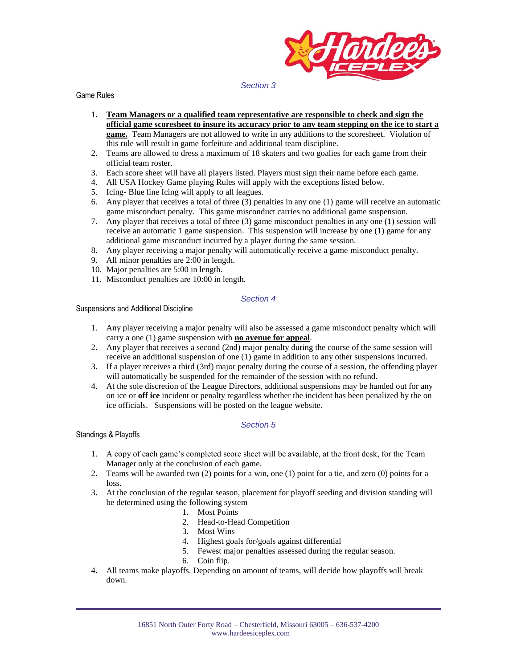

#### *Section 3*

Game Rules

- 1. **Team Managers or a qualified team representative are responsible to check and sign the official game scoresheet to insure its accuracy prior to any team stepping on the ice to start a game.** Team Managers are not allowed to write in any additions to the scoresheet. Violation of this rule will result in game forfeiture and additional team discipline.
- 2. Teams are allowed to dress a maximum of 18 skaters and two goalies for each game from their official team roster.
- 3. Each score sheet will have all players listed. Players must sign their name before each game.
- 4. All USA Hockey Game playing Rules will apply with the exceptions listed below.
- 5. Icing- Blue line Icing will apply to all leagues.
- 6. Any player that receives a total of three (3) penalties in any one (1) game will receive an automatic game misconduct penalty. This game misconduct carries no additional game suspension.
- 7. Any player that receives a total of three (3) game misconduct penalties in any one (1) session will receive an automatic 1 game suspension. This suspension will increase by one (1) game for any additional game misconduct incurred by a player during the same session.
- 8. Any player receiving a major penalty will automatically receive a game misconduct penalty.
- 9. All minor penalties are 2:00 in length.
- 10. Major penalties are 5:00 in length.
- 11. Misconduct penalties are 10:00 in length.

#### *Section 4*

Suspensions and Additional Discipline

- 1. Any player receiving a major penalty will also be assessed a game misconduct penalty which will carry a one (1) game suspension with **no avenue for appeal**.
- 2. Any player that receives a second  $(2nd)$  major penalty during the course of the same session will receive an additional suspension of one (1) game in addition to any other suspensions incurred.
- 3. If a player receives a third (3rd) major penalty during the course of a session, the offending player will automatically be suspended for the remainder of the session with no refund.
- 4. At the sole discretion of the League Directors, additional suspensions may be handed out for any on ice or **off ice** incident or penalty regardless whether the incident has been penalized by the on ice officials. Suspensions will be posted on the league website.

## *Section 5*

#### Standings & Playoffs

- 1. A copy of each game's completed score sheet will be available, at the front desk, for the Team Manager only at the conclusion of each game.
- 2. Teams will be awarded two (2) points for a win, one (1) point for a tie, and zero (0) points for a loss.
- 3. At the conclusion of the regular season, placement for playoff seeding and division standing will be determined using the following system
	- 1. Most Points
	- 2. Head-to-Head Competition
	- 3. Most Wins
	- 4. Highest goals for/goals against differential
	- 5. Fewest major penalties assessed during the regular season.
	- 6. Coin flip.
- 4. All teams make playoffs. Depending on amount of teams, will decide how playoffs will break down.